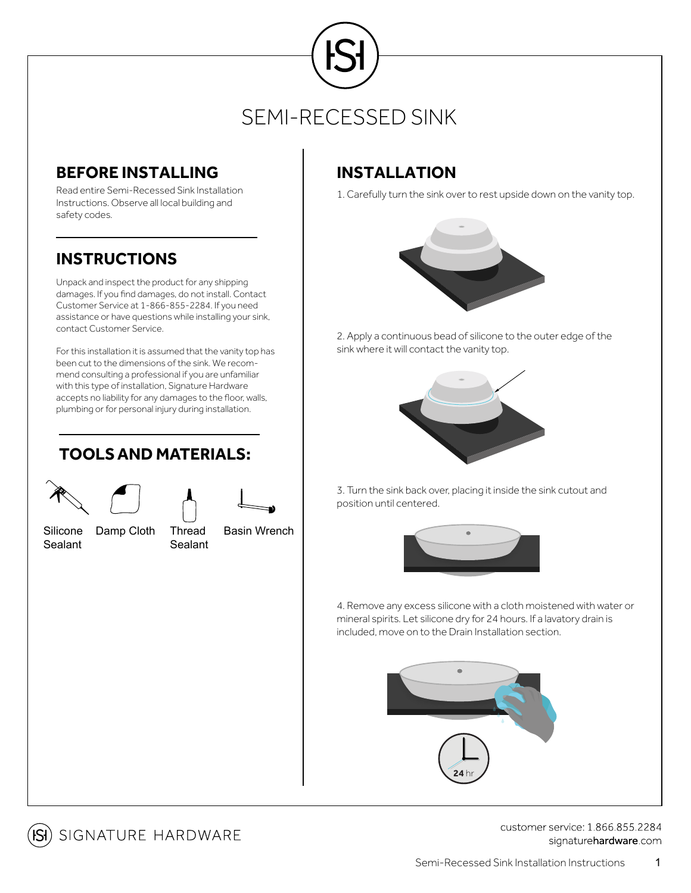# SEMI-RECESSED SINK

## **BEFORE INSTALLING INSTALLATION**

Read entire Semi-Recessed Sink Installation Instructions. Observe all local building and safety codes.

# **INSTRUCTIONS**

Unpack and inspect the product for any shipping damages. If you find damages, do not install. Contact Customer Service at 1-866-855-2284. If you need assistance or have questions while installing your sink, contact Customer Service.

For this installation it is assumed that the vanity top has been cut to the dimensions of the sink. We recommend consulting a professional if you are unfamiliar with this type of installation, Signature Hardware accepts no liability for any damages to the floor, walls, plumbing or for personal injury during installation.

### **TOOLSAND MATERIALS:**





Basin Wrench

Silicone Sealant Damp Cloth

Thread **Sealant** 

1. Carefully turn the sink over to rest upside down on the vanity top.



2. Apply a continuous bead of silicone to the outer edge of the sink where it will contact the vanity top.



3. Turn the sink back over, placing it inside the sink cutout and position until centered.



4. Remove any excess silicone with a cloth moistened with water or mineral spirits. Let silicone dry for 24 hours. If a lavatory drain is included, move on to the Drain Installation section.





customer service: 1 866 855 2284 signaturehardware.com